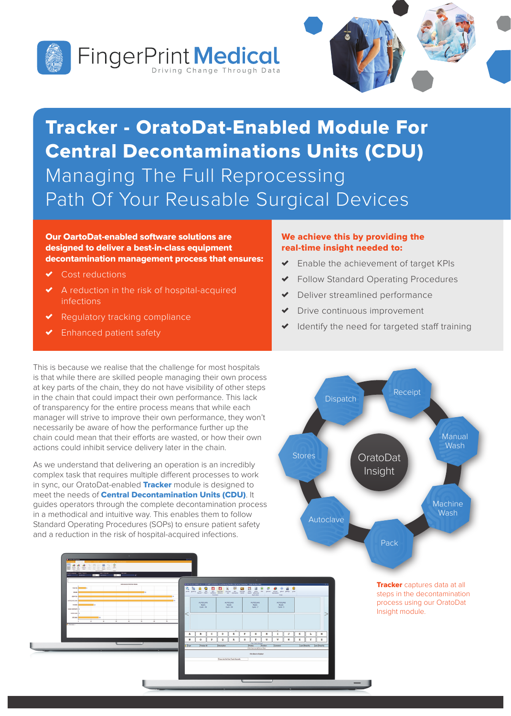



# Tracker - OratoDat-Enabled Module For Central Decontaminations Units (CDU) Managing The Full Reprocessing Path Of Your Reusable Surgical Devices

Our OartoDat-enabled software solutions are designed to deliver a best-in-class equipment decontamination management process that ensures:

- Cost reductions
- ✗ A reduction in the risk of hospital-acquired infections
- Regulatory tracking compliance
- Enhanced patient safety

#### We achieve this by providing the real-time insight needed to:

- ✗ Enable the achievement of target KPIs
- ✗ Follow Standard Operating Procedures
- Deliver streamlined performance
- Drive continuous improvement
- Identify the need for targeted staff training

This is because we realise that the challenge for most hospitals is that while there are skilled people managing their own process at key parts of the chain, they do not have visibility of other steps in the chain that could impact their own performance. This lack of transparency for the entire process means that while each manager will strive to improve their own performance, they won't necessarily be aware of how the performance further up the chain could mean that their efforts are wasted, or how their own actions could inhibit service delivery later in the chain.

As we understand that delivering an operation is an incredibly complex task that requires multiple different processes to work in sync, our OratoDat-enabled Tracker module is designed to meet the needs of **Central Decontamination Units (CDU)**. It guides operators through the complete decontamination process in a methodical and intuitive way. This enables them to follow Standard Operating Procedures (SOPs) to ensure patient safety and a reduction in the risk of hospital-acquired infections.



**Tracker** captures data at all steps in the decontamination process using our OratoDat Insight module.



 $099980$ 

359900 L F B 0 1 \*

AUTOCLAN

AUTOCLAV<br>Ready